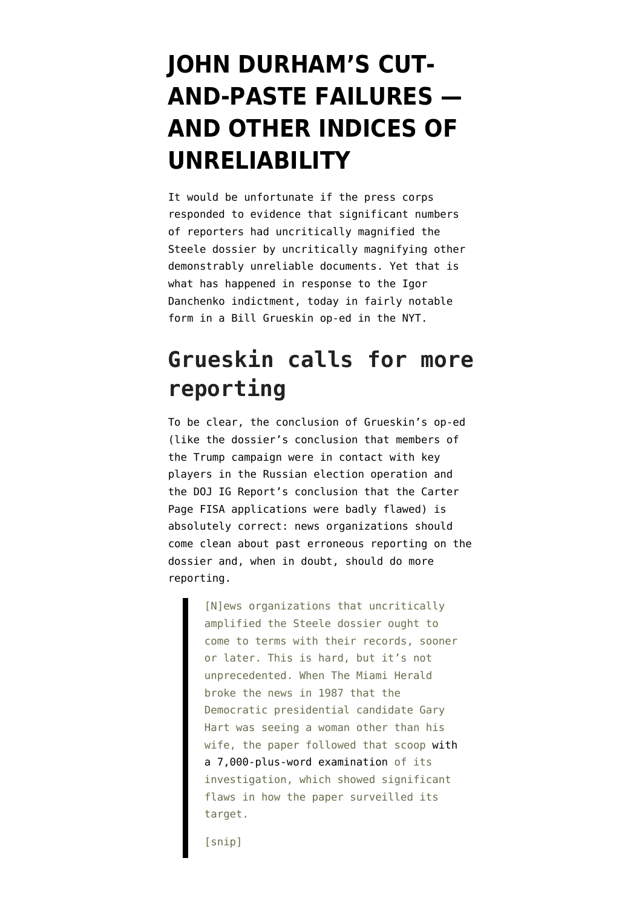# **[JOHN DURHAM'S CUT-](https://www.emptywheel.net/2021/11/16/john-durhams-cut-and-paste-failures-and-other-indicies-of-unreliability/)[AND-PASTE FAILURES —](https://www.emptywheel.net/2021/11/16/john-durhams-cut-and-paste-failures-and-other-indicies-of-unreliability/) [AND OTHER INDICES OF](https://www.emptywheel.net/2021/11/16/john-durhams-cut-and-paste-failures-and-other-indicies-of-unreliability/) [UNRELIABILITY](https://www.emptywheel.net/2021/11/16/john-durhams-cut-and-paste-failures-and-other-indicies-of-unreliability/)**

It would be unfortunate if the press corps responded to evidence that significant numbers of reporters had uncritically magnified the Steele dossier by uncritically magnifying other demonstrably unreliable documents. Yet that is what has happened in response to the [Igor](https://www.justice.gov/sco/press-release/file/1446386/download) [Danchenko indictment](https://www.justice.gov/sco/press-release/file/1446386/download), today in fairly notable form in a [Bill Grueskin op-ed in the NYT.](https://www.nytimes.com/2021/11/15/opinion/steele-dossier.html)

## **Grueskin calls for more reporting**

To be clear, the conclusion of Grueskin's op-ed (like the dossier's conclusion that members of the Trump campaign were in contact with key players in the Russian election operation and the DOJ IG Report's conclusion that the Carter Page FISA applications were badly flawed) is absolutely correct: news organizations should come clean about past erroneous reporting on the dossier and, when in doubt, should do more reporting.

> [N]ews organizations that uncritically amplified the Steele dossier ought to come to terms with their records, sooner or later. This is hard, but it's not unprecedented. When The Miami Herald broke the news in 1987 that the Democratic presidential candidate Gary Hart was seeing a woman other than his wife, the paper followed that scoop [with](https://www.miamiherald.com/article2154781.html) [a 7,000-plus-word examination](https://www.miamiherald.com/article2154781.html) of its investigation, which showed significant flaws in how the paper surveilled its target.

[snip]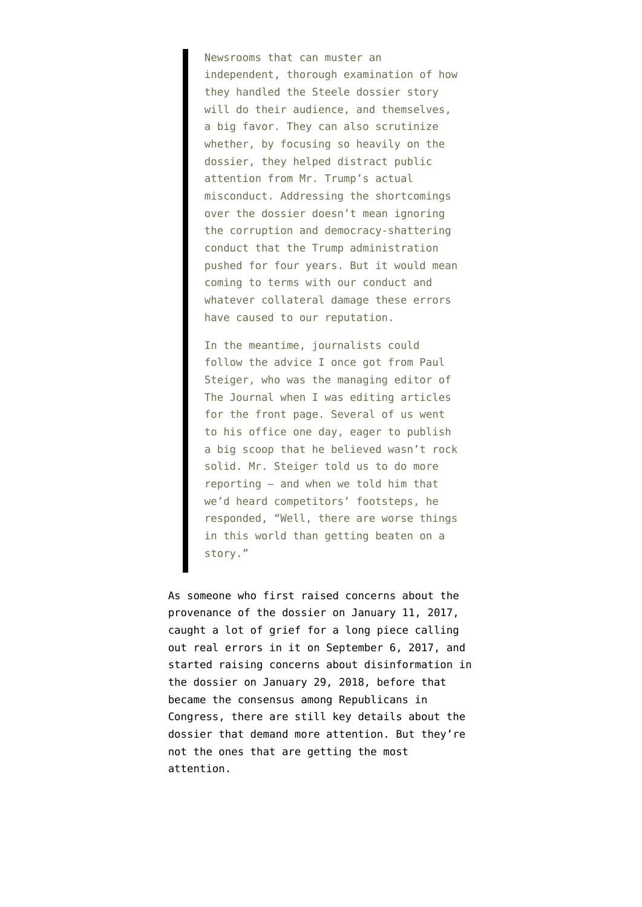Newsrooms that can muster an independent, thorough examination of how they handled the Steele dossier story will do their audience, and themselves, a big favor. They can also scrutinize whether, by focusing so heavily on the dossier, they helped distract public attention from Mr. Trump's actual misconduct. Addressing the shortcomings over the dossier doesn't mean ignoring the corruption and democracy-shattering conduct that the Trump administration pushed for four years. But it would mean coming to terms with our conduct and whatever collateral damage these errors have caused to our reputation.

In the meantime, journalists could follow the advice I once got from Paul Steiger, who was the managing editor of The Journal when I was editing articles for the front page. Several of us went to his office one day, eager to publish a big scoop that he believed wasn't rock solid. Mr. Steiger told us to do more reporting — and when we told him that we'd heard competitors' footsteps, he responded, "Well, there are worse things in this world than getting beaten on a story."

As someone who first [raised concerns about the](https://www.emptywheel.net/2017/01/11/the-democrats-newfound-love-for-russian-intelligence-product/) [provenance of the dossier on January 11, 2017](https://www.emptywheel.net/2017/01/11/the-democrats-newfound-love-for-russian-intelligence-product/), caught a lot of grief for [a long piece calling](https://www.emptywheel.net/2017/09/06/john-siphers-garbage-post-arguing-the-steele-dossier-isnt-garbage/) [out real errors in it on September 6, 2017](https://www.emptywheel.net/2017/09/06/john-siphers-garbage-post-arguing-the-steele-dossier-isnt-garbage/), and started [raising concerns about disinformation in](https://www.emptywheel.net/2018/01/29/on-disinformation-and-the-dossier/) [the dossier on January 29, 2018,](https://www.emptywheel.net/2018/01/29/on-disinformation-and-the-dossier/) before that became the consensus among Republicans in Congress, there are still key details about the dossier that demand more attention. But they're not the ones that are getting the most attention.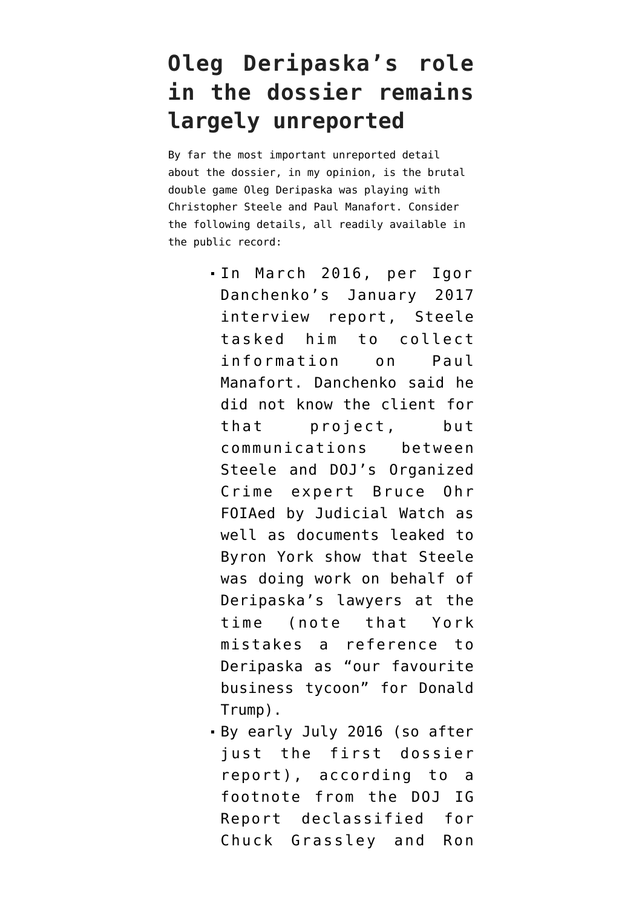## **Oleg Deripaska's role in the dossier remains largely unreported**

By far the most important unreported detail about the dossier, in my opinion, is [the brutal](https://www.emptywheel.net/2020/01/02/deza-oleg-deripaskas-double-game/) [double game Oleg Deripaska was playing](https://www.emptywheel.net/2020/01/02/deza-oleg-deripaskas-double-game/) with Christopher Steele and Paul Manafort. Consider the following details, all readily available in the public record:

- In March 2016, per [Igor](https://www.documentcloud.org/documents/21103055-170209-danchenko-interviews#document/p14/a2065289) [Danchenko's January 2017](https://www.documentcloud.org/documents/21103055-170209-danchenko-interviews#document/p14/a2065289) [interview report,](https://www.documentcloud.org/documents/21103055-170209-danchenko-interviews#document/p14/a2065289) Steele tasked him to collect information on Paul Manafort. Danchenko said he did not know the client for that project, but communications between Steele and DOJ's Organized Crime expert Bruce Ohr [FOIAed by Judicial Watch](https://www.documentcloud.org/documents/6251221-190808-Ohr-Notes.html) as well as [documents leaked to](https://www.washingtonexaminer.com/tag/donald-trump?source=%2Fnews%2Femails-show-2016-links-among-steele-ohr-simpson-with-russian-oligarch-in-background) [Byron York](https://www.washingtonexaminer.com/tag/donald-trump?source=%2Fnews%2Femails-show-2016-links-among-steele-ohr-simpson-with-russian-oligarch-in-background) show that Steele was doing work on behalf of Deripaska's lawyers at the time (note that York mistakes a reference to Deripaska as "our favourite business tycoon" for Donald Trump).
- By early July 2016 (so after just the first dossier report), according to [a](https://www.emptywheel.net/wp-content/uploads/2020/04/200415-DOJ-IG-Footnotes.pdf) [footnote](https://www.emptywheel.net/wp-content/uploads/2020/04/200415-DOJ-IG-Footnotes.pdf) from the DOJ IG Report declassified for Chuck Grassley and Ron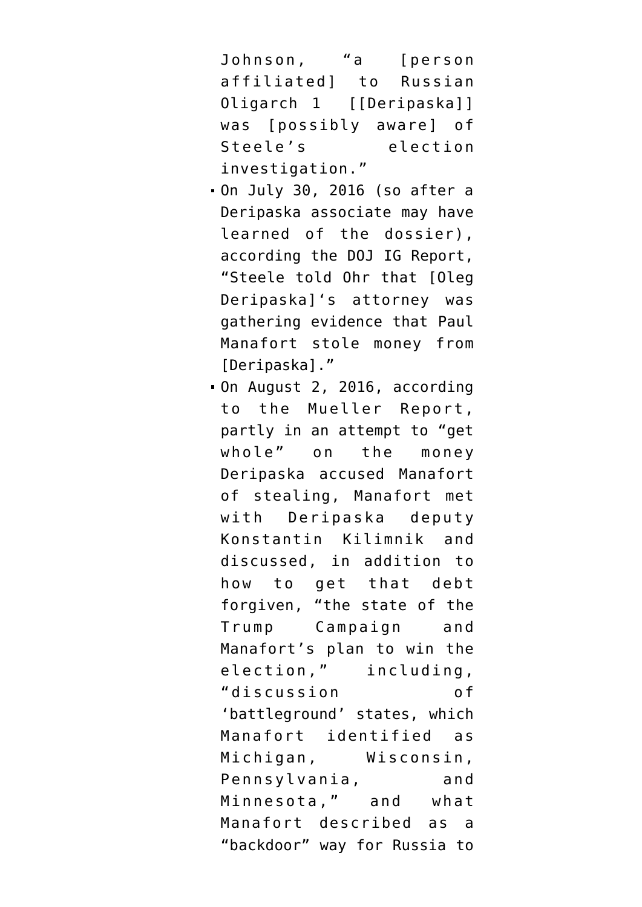Johnson, "a [person affiliated] to Russian Oligarch 1 [[Deripaska]] was [possibly aware] of Steele's election investigation."

- On July 30, 2016 (so after a Deripaska associate may have learned of the dossier), according [the DOJ IG Report](https://www.justice.gov/storage/120919-examination.pdf), "Steele told Ohr that [Oleg Deripaska]'s attorney was gathering evidence that Paul Manafort stole money from [Deripaska]."
- On August 2, 2016, [according](https://www.documentcloud.org/documents/20401920-201102-mueller-report#document/p148/a2065290) [to the Mueller Report](https://www.documentcloud.org/documents/20401920-201102-mueller-report#document/p148/a2065290), partly in an attempt to "get whole" on the money Deripaska accused Manafort of stealing, Manafort met with Deripaska deputy Konstantin Kilimnik and discussed, in addition to how to get that debt forgiven, "the state of the Trump Campaign and Manafort's plan to win the election," including, "discussion of 'battleground' states, which Manafort identified as Michigan, Wisconsin, Pennsylvania, and Minnesota," and what Manafort described as a "backdoor" way for Russia to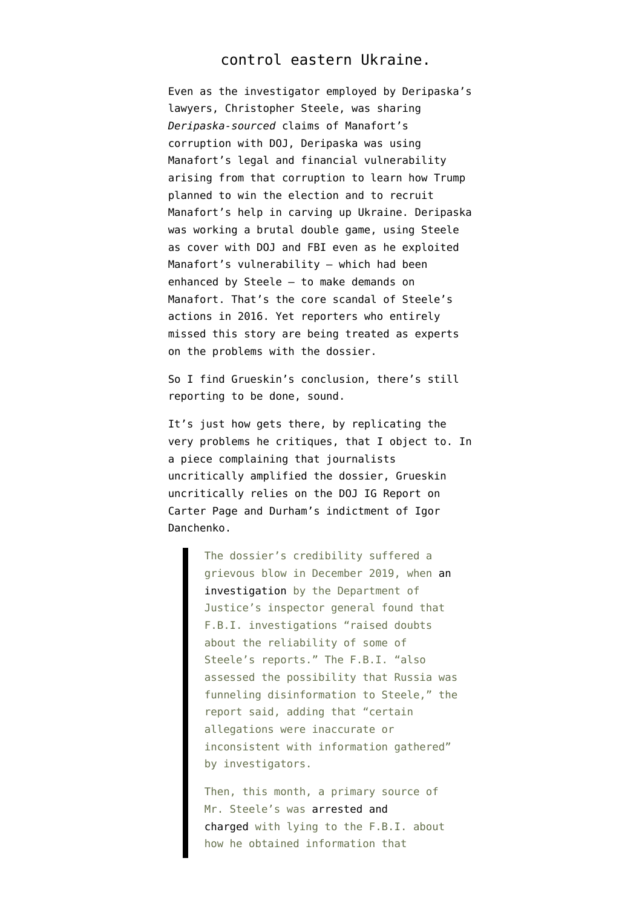#### control eastern Ukraine.

Even as the investigator employed by Deripaska's lawyers, Christopher Steele, was sharing *Deripaska-sourced* claims of Manafort's corruption with DOJ, Deripaska was using Manafort's legal and financial vulnerability arising from that corruption to learn how Trump planned to win the election and to recruit Manafort's help in carving up Ukraine. Deripaska was working a brutal double game, using Steele as cover with DOJ and FBI even as he exploited Manafort's vulnerability — which had been enhanced by Steele — to make demands on Manafort. That's the core scandal of Steele's actions in 2016. Yet [reporters who entirely](https://www.emptywheel.net/2021/05/23/you-cannot-discuss-disinformation-and-the-steele-dossier-without-discussing-oleg-deripaska/) [missed this story](https://www.emptywheel.net/2021/05/23/you-cannot-discuss-disinformation-and-the-steele-dossier-without-discussing-oleg-deripaska/) are being treated as experts on the problems with the dossier.

So I find Grueskin's conclusion, there's still reporting to be done, sound.

It's just how gets there, by replicating the very problems he critiques, that I object to. In a piece complaining that journalists uncritically amplified the dossier, Grueskin uncritically relies on [the DOJ IG Report on](https://www.justice.gov/storage/120919-examination.pdf) [Carter Page](https://www.justice.gov/storage/120919-examination.pdf) and Durham's indictment of Igor Danchenko.

> The dossier's credibility suffered a grievous blow in December 2019, when [an](https://www.justice.gov/storage/120919-examination.pdf) [investigation](https://www.justice.gov/storage/120919-examination.pdf) by the Department of Justice's inspector general found that F.B.I. investigations "raised doubts about the reliability of some of Steele's reports." The F.B.I. "also assessed the possibility that Russia was funneling disinformation to Steele," the report said, adding that "certain allegations were inaccurate or inconsistent with information gathered" by investigators.

Then, this month, a primary source of Mr. Steele's was [arrested and](https://www.nytimes.com/2021/11/04/us/politics/igor-danchenko-arrested-steele-dossier.html?timespastHighlight=igor,danchenko) [charged](https://www.nytimes.com/2021/11/04/us/politics/igor-danchenko-arrested-steele-dossier.html?timespastHighlight=igor,danchenko) with lying to the F.B.I. about how he obtained information that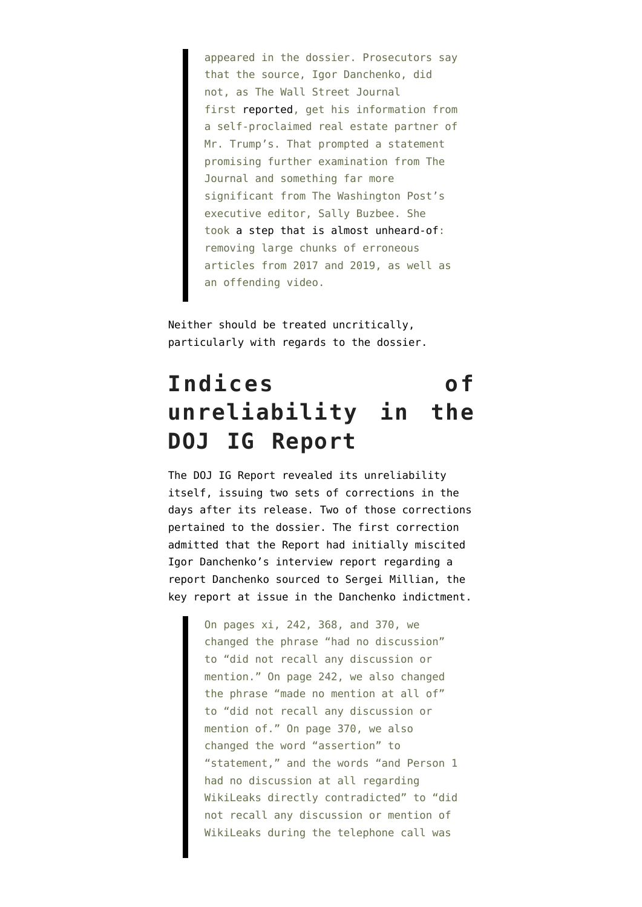appeared in the dossier. Prosecutors say that the source, Igor Danchenko, did not, as The Wall Street Journal first [reported,](https://www.wsj.com/articles/key-claims-in-trump-dossier-came-from-head-of-russian-american-business-group-source-1485253804) get his information from a self-proclaimed real estate partner of Mr. Trump's. That prompted a statement promising further examination from The Journal and something far more significant from The Washington Post's executive editor, Sally Buzbee. She took [a step that is almost unheard-of:](https://www.washingtonpost.com/lifestyle/style/media-washington-post-steele-dossier/2021/11/12/f7c9b770-43d5-11ec-a88e-2aa4632af69b_story.html) removing large chunks of erroneous articles from 2017 and 2019, as well as an offending video.

Neither should be treated uncritically, particularly with regards to the dossier.

# **Indices of unreliability in the DOJ IG Report**

The DOJ IG Report revealed its unreliability itself, issuing two sets of corrections in the days after its release. Two of those corrections pertained to the dossier. The first correction admitted that the Report had initially miscited Igor Danchenko's interview report regarding a report Danchenko sourced to Sergei Millian, the key report at issue in the Danchenko indictment.

> On pages xi, 242, 368, and 370, we changed the phrase "had no discussion" to "did not recall any discussion or mention." On page 242, we also changed the phrase "made no mention at all of" to "did not recall any discussion or mention of." On page 370, we also changed the word "assertion" to "statement," and the words "and Person 1 had no discussion at all regarding WikiLeaks directly contradicted" to "did not recall any discussion or mention of WikiLeaks during the telephone call was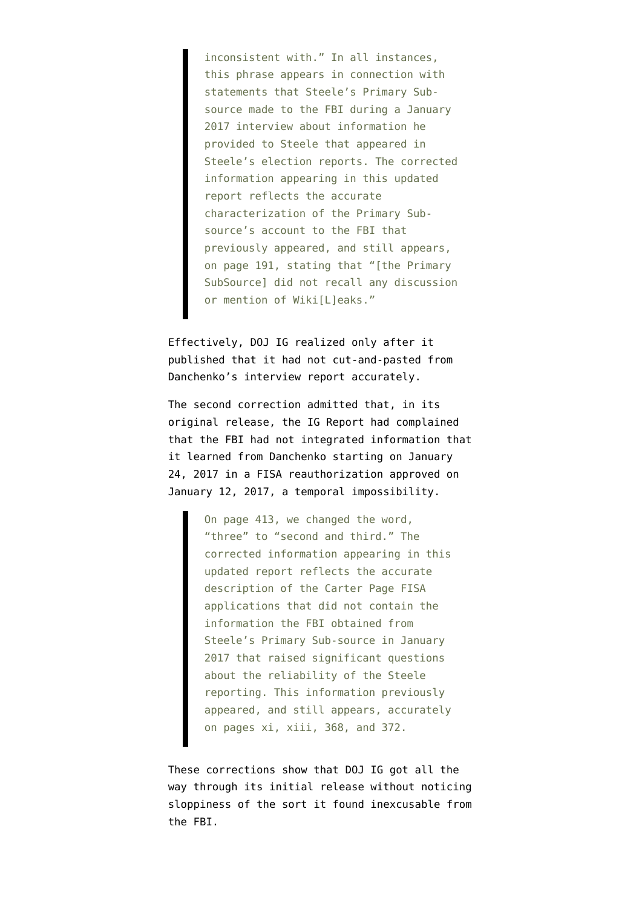inconsistent with." In all instances, this phrase appears in connection with statements that Steele's Primary Subsource made to the FBI during a January 2017 interview about information he provided to Steele that appeared in Steele's election reports. The corrected information appearing in this updated report reflects the accurate characterization of the Primary Subsource's account to the FBI that previously appeared, and still appears, on page 191, stating that "[the Primary SubSource] did not recall any discussion or mention of Wiki[L]eaks."

Effectively, DOJ IG realized only after it published that it had not cut-and-pasted from Danchenko's interview report accurately.

The second correction admitted that, in its original release, the IG Report had complained that the FBI had not integrated information that it learned from Danchenko starting on January 24, 2017 in a FISA reauthorization approved on January 12, 2017, a temporal impossibility.

> On page 413, we changed the word, "three" to "second and third." The corrected information appearing in this updated report reflects the accurate description of the Carter Page FISA applications that did not contain the information the FBI obtained from Steele's Primary Sub-source in January 2017 that raised significant questions about the reliability of the Steele reporting. This information previously appeared, and still appears, accurately on pages xi, xiii, 368, and 372.

These corrections show that DOJ IG got all the way through its initial release without noticing sloppiness of the sort it found inexcusable from the FBI.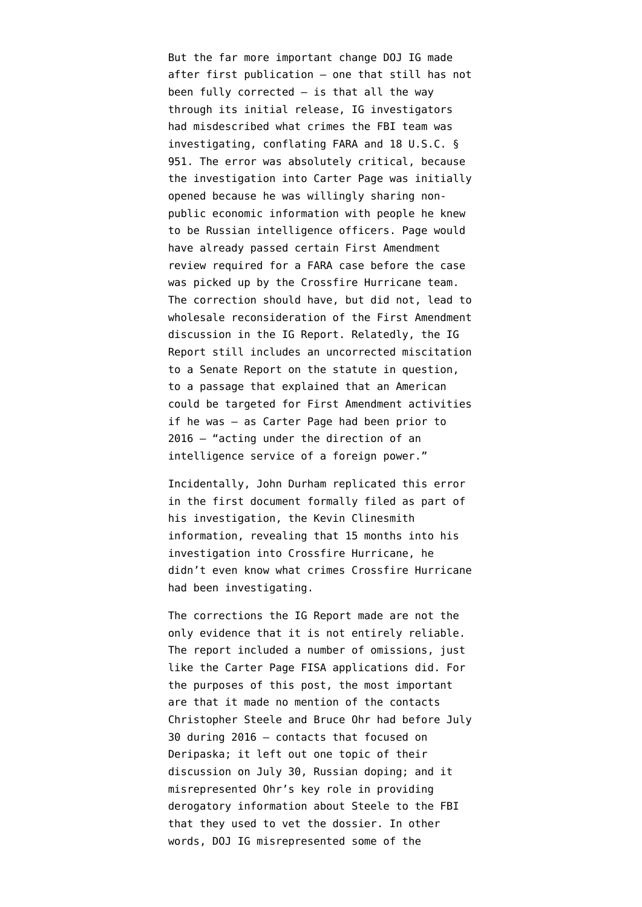But the far more important change DOJ IG made after first publication — one that still has not been fully corrected — is that all the way through its initial release, IG investigators [had misdescribed what crimes](https://www.emptywheel.net/2019/12/23/eleven-days-after-releasing-their-report-doj-ig-clarifies-what-crimes-fbi-investigated/) the FBI team was investigating, conflating [FARA](https://www.law.cornell.edu/uscode/text/22/611) and [18 U.S.C. §](https://www.law.cornell.edu/uscode/text/18/951) [951.](https://www.law.cornell.edu/uscode/text/18/951) The error was absolutely critical, because the investigation into Carter Page was initially opened because he was willingly sharing nonpublic economic information with people he knew to be Russian intelligence officers. Page would have already passed certain First Amendment review required for a FARA case before the case was picked up by the Crossfire Hurricane team. The correction should have, but did not, lead to wholesale reconsideration of the First Amendment discussion in the IG Report. Relatedly, the IG Report still includes an uncorrected miscitation to [a Senate Report](https://www.intelligence.senate.gov/sites/default/files/publications/95701.pdf) on the statute in question, to a passage that explained that an American could be targeted for First Amendment activities if he was — as Carter Page had been prior to 2016 — "acting under the direction of an intelligence service of a foreign power."

Incidentally, John Durham [replicated this error](https://www.emptywheel.net/2020/08/15/the-clinesmith-information-includes-evidence-that-john-durham-misunderstands-his-investigation/) in the first document formally filed as part of his investigation, the [Kevin Clinesmith](https://storage.courtlistener.com/recap/gov.uscourts.dcd.221058/gov.uscourts.dcd.221058.1.0_2.pdf) [information](https://storage.courtlistener.com/recap/gov.uscourts.dcd.221058/gov.uscourts.dcd.221058.1.0_2.pdf), revealing that 15 months into his investigation into Crossfire Hurricane, he didn't even know what crimes Crossfire Hurricane had been investigating.

The corrections the IG Report made are not the only evidence that it is not entirely reliable. The report included [a number of omissions,](https://www.emptywheel.net/2019/12/30/the-inspector-general-report-on-carter-page-fails-to-meet-the-standard-it-applies-to-the-fbi/) just like the Carter Page FISA applications did. For the purposes of this post, [the most important](https://www.emptywheel.net/2019/12/28/fact-witness-how-rod-rosenstein-got-doj-ig-to-land-a-plane-on-bruce-ohr/) are that it made no mention of the contacts Christopher Steele and Bruce Ohr had before July 30 during 2016 — contacts that focused on Deripaska; it left out one topic of their discussion on July 30, Russian doping; and it misrepresented Ohr's key role in providing derogatory information about Steele to the FBI that they used to vet the dossier. In other words, DOJ IG misrepresented some of the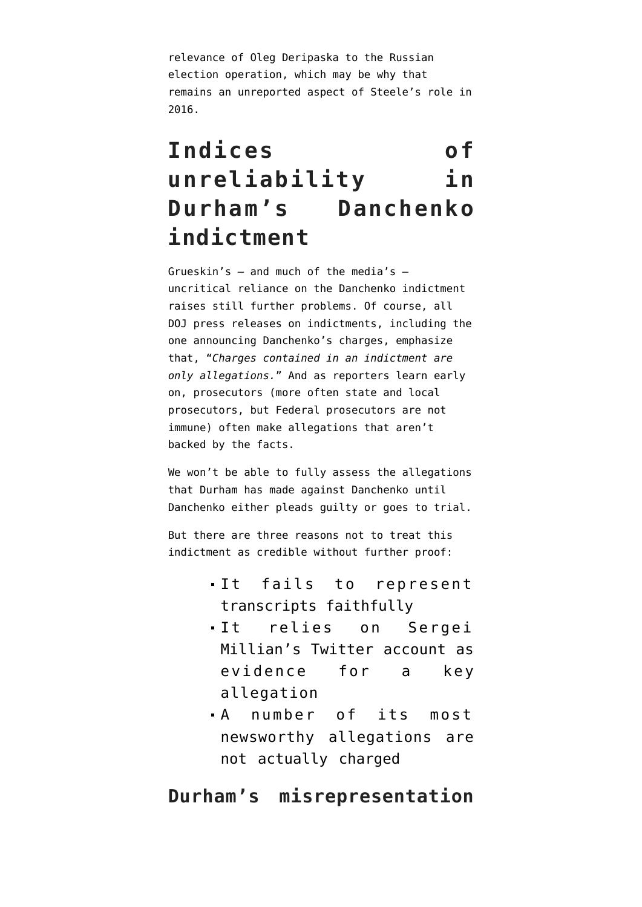relevance of Oleg Deripaska to the Russian election operation, which may be why that remains an unreported aspect of Steele's role in 2016.

# **Indices of unreliability in Durham's Danchenko indictment**

Grueskin's — and much of the media's uncritical reliance on the [Danchenko indictment](https://www.justice.gov/sco/press-release/file/1446386/download) raises still further problems. Of course, all DOJ press releases on indictments, including the one announcing Danchenko's charges, [emphasize](https://www.justice.gov/sco/pr/russian-national-indicted-making-false-statements-fbi) that, "*Charges contained in an indictment are only allegations.*" And as reporters learn early on, prosecutors (more often state and local prosecutors, but Federal prosecutors are not immune) often make allegations that aren't backed by the facts.

We won't be able to fully assess the allegations that Durham has made against Danchenko until Danchenko either pleads guilty or goes to trial.

But there are three reasons not to treat this indictment as credible without further proof:

- It fails to represent transcripts faithfully
- It relies on Sergei Millian's Twitter account as evidence for a key allegation
- A number of its most newsworthy allegations are not actually charged

#### **Durham's misrepresentation**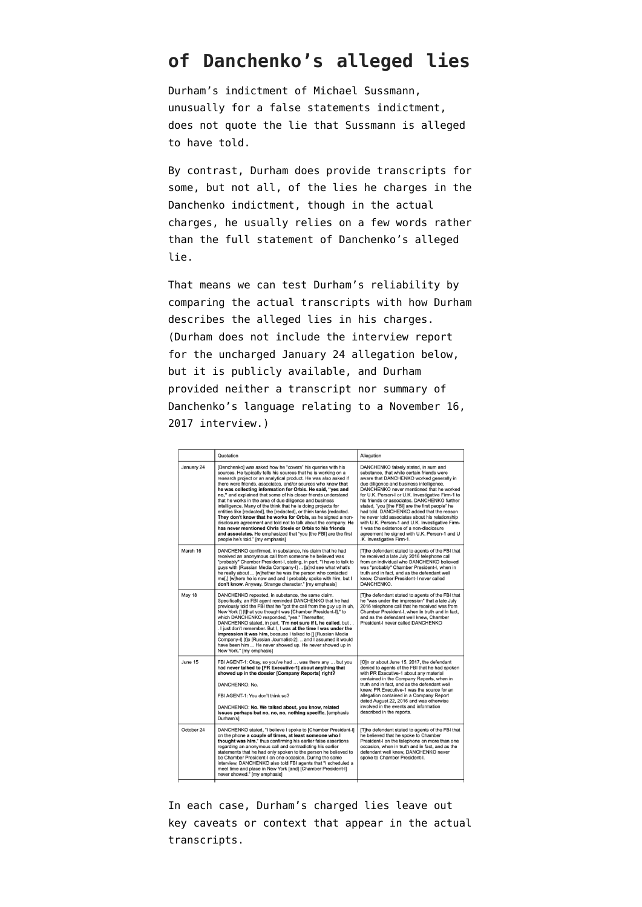### **of Danchenko's alleged lies**

Durham's [indictment of Michael Sussmann,](https://www.documentcloud.org/documents/21080001-210916-sussmann-indictment) unusually for a false statements indictment, does not quote the lie that Sussmann is alleged to have told.

By contrast, Durham does provide transcripts for some, but not all, of the lies he charges in the Danchenko indictment, though in the actual charges, he usually relies on a few words rather than the full statement of Danchenko's alleged lie.

That means we can test Durham's reliability by [comparing](http://docs.google.com/document/d/e/2PACX-1vR_NxvhCUA8mvP66e7d9TNwxGYECtFQId-lM7UWyHTA2SyuWiXsvGY0-4m_lyWr7qeA9tQ-PnV3g5FZ/pub) the actual transcripts with how Durham describes the alleged lies in his charges. (Durham does not include the interview report for the uncharged January 24 allegation below, but it [is publicly available](https://www.documentcloud.org/documents/21103055-170209-danchenko-interviews#document/p14/a2065289), and Durham provided neither a transcript nor summary of Danchenko's language relating to a November 16, 2017 interview.)

|            | Quotation                                                                                                                                                                                                                                                                                                                                                                                                                                                                                                                                                                                                                                                                                                                                                                                                                                                                                                | Allegation                                                                                                                                                                                                                                                                                                                                                                                                                                                                                                                                                                                                                                                |
|------------|----------------------------------------------------------------------------------------------------------------------------------------------------------------------------------------------------------------------------------------------------------------------------------------------------------------------------------------------------------------------------------------------------------------------------------------------------------------------------------------------------------------------------------------------------------------------------------------------------------------------------------------------------------------------------------------------------------------------------------------------------------------------------------------------------------------------------------------------------------------------------------------------------------|-----------------------------------------------------------------------------------------------------------------------------------------------------------------------------------------------------------------------------------------------------------------------------------------------------------------------------------------------------------------------------------------------------------------------------------------------------------------------------------------------------------------------------------------------------------------------------------------------------------------------------------------------------------|
| January 24 | [Danchenko] was asked how he "covers" his queries with his<br>sources. He typically tells his sources that he is working on a<br>research project or an analytical product. He was also asked if<br>there were friends, associates, and/or sources who knew that<br>he was collecting information for Orbis. He said, "yes and<br>no," and explained that some of his closer friends understand<br>that he works in the area of due diligence and business<br>intelligence. Many of the think that he is doing projects for<br>entities like [redacted], the [redacted], or think tanks [redacted.<br>They don't know that he works for Orbis, as he signed a non-<br>disclosure agreement and told not to talk about the company. He<br>has never mentioned Chris Steele or Orbis to his friends<br>and associates. He emphasized that "you Ithe FBII are the first<br>people he's told." Imv emphasis] | DANCHENKO falsely stated, in sum and<br>substance, that while certain friends were<br>aware that DANCHENKO worked generally in<br>due diligence and business intelligence,<br>DANCHENKO never mentioned that he worked<br>for U.K. Person-I or U.K. Investigative Firm-1 to<br>his friends or associates. DANCHENKO further<br>stated, "you [the FBI] are the first people" he<br>had told. DANCHENKO added that the reason<br>he never told associates about his relationship<br>with U.K. Person-1 and U.K. Investigative Firm-<br>1 was the existence of a non-disclosure<br>agreement he signed with U.K. Person-1 and U<br>.K. Investigative Firm-1. |
| March 16   | DANCHENKO confirmed, in substance, his claim that he had<br>received an anonymous call from someone he believed was<br>"probably" Chamber President-I, stating, in part, "I have to talk to<br>guys with [Russian Media Company-I]  [a]nd see what what's<br>he really about  [w]hether he was the person who contacted<br>me[,] [w]here he is now and and I probably spoke with him, but I<br>don't know. Anyway. Strange character." [my emphasis]                                                                                                                                                                                                                                                                                                                                                                                                                                                     | [T]he defendant stated to agents of the FBI that<br>he received a late July 2016 telephone call<br>from an individual who DANCHENKO believed<br>was "probably" Chamber President-I, when in<br>truth and in fact, and as the defendant well<br>knew. Chamber President-I never called<br>DANCHENKO.                                                                                                                                                                                                                                                                                                                                                       |
| May 18     | DANCHENKO repeated, in substance, the same claim.<br>Specifically, an FBI agent reminded DANCHENKO that he had<br>previously told the FBI that he "got the call from the guy up in uh.<br>New York II [t]hat you thought was [Chamber President-I]," to<br>which DANCHENKO responded, "yes." Thereafter,<br>DANCHENKO stated, in part, "I'm not sure if I, he called, but<br>. I just don't remember. But I. I was at the time I was under the<br>impression it was him, because I talked to [] [Russian Media<br>Company-I] [t]o [Russian Journalist-2].  and I assumed it would<br>have been him  He never showed up. He never showed up in<br>New York." [my emphasis]                                                                                                                                                                                                                                | [T]he defendant stated to agents of the FBI that<br>he "was under the impression" that a late July<br>2016 telephone call that he received was from<br>Chamber President-I, when in truth and in fact,<br>and as the defendant well knew, Chamber<br>President-I never called DANCHENKO                                                                                                                                                                                                                                                                                                                                                                   |
| June 15    | FBI AGENT-1: Okay, so you've had  was there any  but you<br>had never talked to [PR Executive-1] about anything that<br>showed up in the dossier [Company Reports] right?<br>DANCHENKO: No.<br>FBI AGENT-1: You don't think so?<br>DANCHENKO: No. We talked about, you know, related<br>issues perhaps but no, no, no, nothing specific. [emphasis<br>Durham'sl                                                                                                                                                                                                                                                                                                                                                                                                                                                                                                                                          | [O]n or about June 15, 2017, the defendant<br>denied to agents of the FBI that he had spoken<br>with PR Executive-1 about any material<br>contained in the Company Reports, when in<br>truth and in fact, and as the defendant well<br>knew, PR Executive-1 was the source for an<br>allegation contained in a Company Report<br>dated August 22, 2016 and was otherwise<br>involved in the events and information<br>described in the reports.                                                                                                                                                                                                           |
| October 24 | DANCHENKO stated, "I believe I spoke to [Chamber President-I]<br>on the phone a couple of times, at least someone who I<br>thought was him." thus confirming his earlier false assertions<br>regarding an anonymous call and contradicting his earlier<br>statements that he had only spoken to the person he believed to<br>be Chamber President-I on one occasion. During the same<br>interview, DANCHENKO also told FBI agents that "I scheduled a<br>meet time and place in New York [and] [Chamber President-I]<br>never showed." [my emphasis]                                                                                                                                                                                                                                                                                                                                                     | [T]he defendant stated to agents of the FBI that<br>he believed that he spoke to Chamber<br>President-I on the telephone on more than one<br>occasion, when in truth and in fact, and as the<br>defendant well knew, DANCHENKO never<br>spoke to Chamber President-I.                                                                                                                                                                                                                                                                                                                                                                                     |

In each case, Durham's charged lies leave out key caveats or context that appear in the actual transcripts.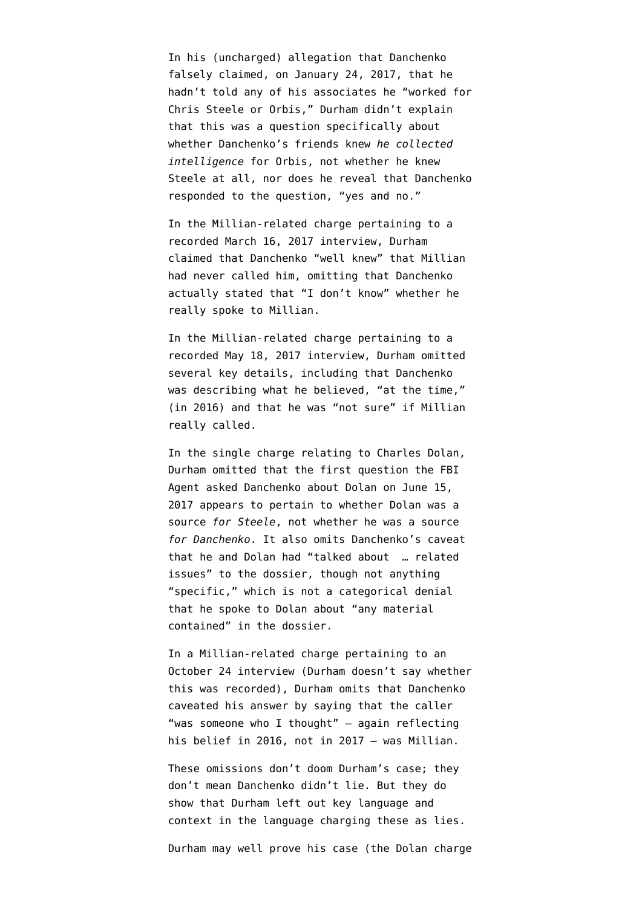In his (uncharged) allegation that Danchenko falsely claimed, on January 24, 2017, that he hadn't told any of his associates he "worked for Chris Steele or Orbis," Durham [didn't explain](https://www.emptywheel.net/2021/11/08/yes-and-no-john-durham-claims-an-answer-about-intelligence-collection-covers-all-networking/) that this was a question specifically about whether Danchenko's friends knew *he collected intelligence* for Orbis, not whether he knew Steele at all, nor does he reveal that Danchenko responded to the question, "yes and no."

In the Millian-related charge pertaining to a recorded March 16, 2017 interview, Durham claimed that Danchenko "well knew" that Millian had never called him, omitting that Danchenko actually stated that "I don't know" whether he really spoke to Millian.

In the Millian-related charge pertaining to a recorded May 18, 2017 interview, Durham omitted several key details, including that Danchenko was describing what he believed, "at the time," (in 2016) and that he was "not sure" if Millian really called.

In the single charge relating to Charles Dolan, Durham omitted that the first question the FBI Agent asked Danchenko about Dolan on June 15, 2017 [appears to pertain](https://www.emptywheel.net/2021/11/11/daisy-chain-the-fbi-appears-to-have-asked-danchenko-whether-dolan-was-a-source-for-steele-not-danchenko/) to whether Dolan was a source *for Steele*, not whether he was a source *for Danchenko*. It also omits Danchenko's caveat that he and Dolan had "talked about … related issues" to the dossier, though not anything "specific," which is not a categorical denial that he spoke to Dolan about "any material contained" in the dossier.

In a Millian-related charge pertaining to an October 24 interview (Durham doesn't say whether this was recorded), Durham omits that Danchenko caveated his answer by saying that the caller "was someone who I thought" — again reflecting his belief in 2016, not in 2017 — was Millian.

These omissions don't doom Durham's case; they don't mean Danchenko didn't lie. But they do show that Durham left out key language and context in the language charging these as lies.

Durham may well prove his case (the Dolan charge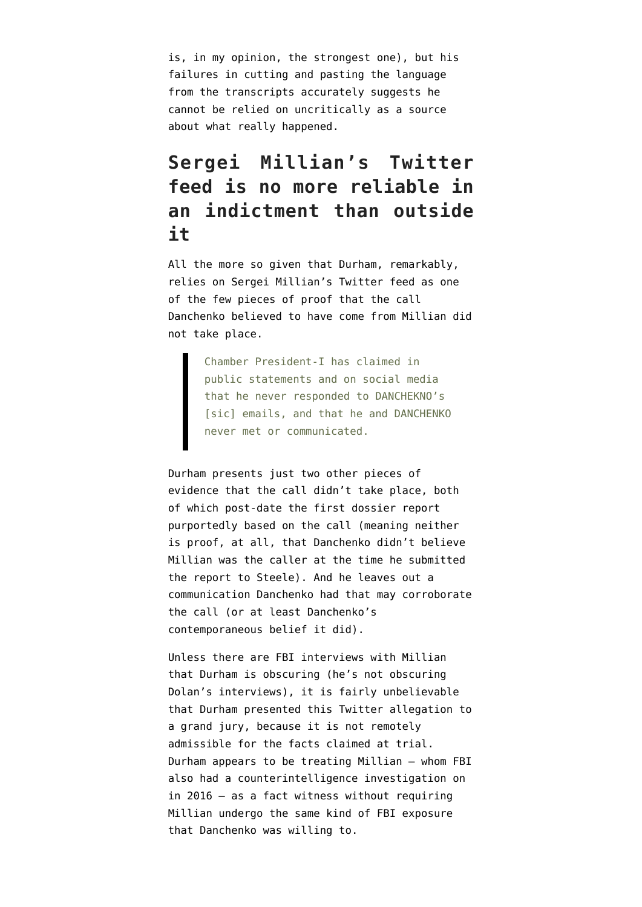is, in my opinion, the strongest one), but his failures in cutting and pasting the language from the transcripts accurately suggests he cannot be relied on uncritically as a source about what really happened.

### **Sergei Millian's Twitter feed is no more reliable in an indictment than outside it**

All the more so given that Durham, remarkably, [relies on Sergei Millian's Twitter feed](https://www.emptywheel.net/2021/11/12/source-6a-john-durhams-twitter-charges/) as one of the few pieces of proof that the call Danchenko believed to have come from Millian did not take place.

> Chamber President-I has claimed in public statements and on social media that he never responded to DANCHEKNO's [sic] emails, and that he and DANCHENKO never met or communicated.

Durham presents just two other pieces of evidence that the call didn't take place, both of which post-date the first dossier report purportedly based on the call (meaning neither is proof, at all, that Danchenko didn't believe Millian was the caller at the time he submitted the report to Steele). And he leaves out a communication Danchenko had that may corroborate the call (or at least Danchenko's contemporaneous belief it did).

Unless there are FBI interviews with Millian that Durham is obscuring (he's not obscuring Dolan's interviews), it is fairly unbelievable that Durham presented this Twitter allegation to a grand jury, because it is not remotely admissible for the facts claimed at trial. Durham appears to be treating Millian — whom FBI also had a counterintelligence investigation on in 2016 — as a fact witness without requiring Millian undergo the same kind of FBI exposure that Danchenko was willing to.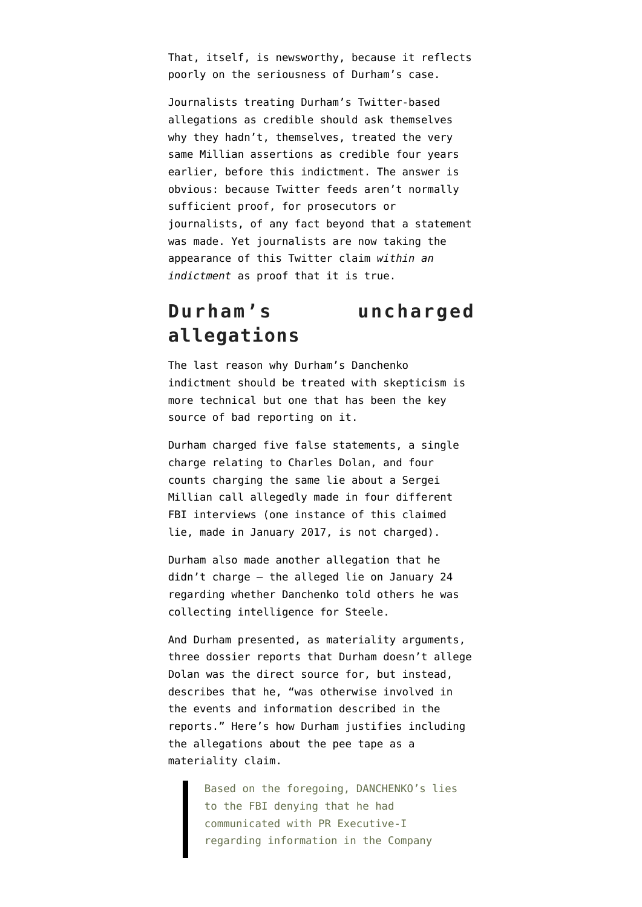That, itself, is newsworthy, because it reflects poorly on the seriousness of Durham's case.

Journalists treating Durham's Twitter-based allegations as credible should ask themselves why they hadn't, themselves, treated the very same Millian assertions as credible four years earlier, before this indictment. The answer is obvious: because Twitter feeds aren't normally sufficient proof, for prosecutors or journalists, of any fact beyond that a statement was made. Yet journalists are now taking the appearance of this Twitter claim *within an indictment* as proof that it is true.

### **Durham's uncharged allegations**

The last reason why Durham's Danchenko indictment should be treated with skepticism is more technical but one that has been the key source of bad reporting on it.

Durham charged five false statements, a single charge relating to Charles Dolan, and four counts charging the same lie about a Sergei Millian call allegedly made in four different FBI interviews (one instance of this claimed lie, made in January 2017, is not charged).

Durham also made another allegation that he didn't charge — the alleged lie on January 24 regarding whether Danchenko told others he was collecting intelligence for Steele.

And Durham presented, as materiality arguments, three dossier reports that Durham doesn't allege Dolan was the direct source for, but instead, describes that he, "was otherwise involved in the events and information described in the reports." Here's how Durham justifies including the allegations about the pee tape as a materiality claim.

> Based on the foregoing, DANCHENKO's lies to the FBI denying that he had communicated with PR Executive-I regarding information in the Company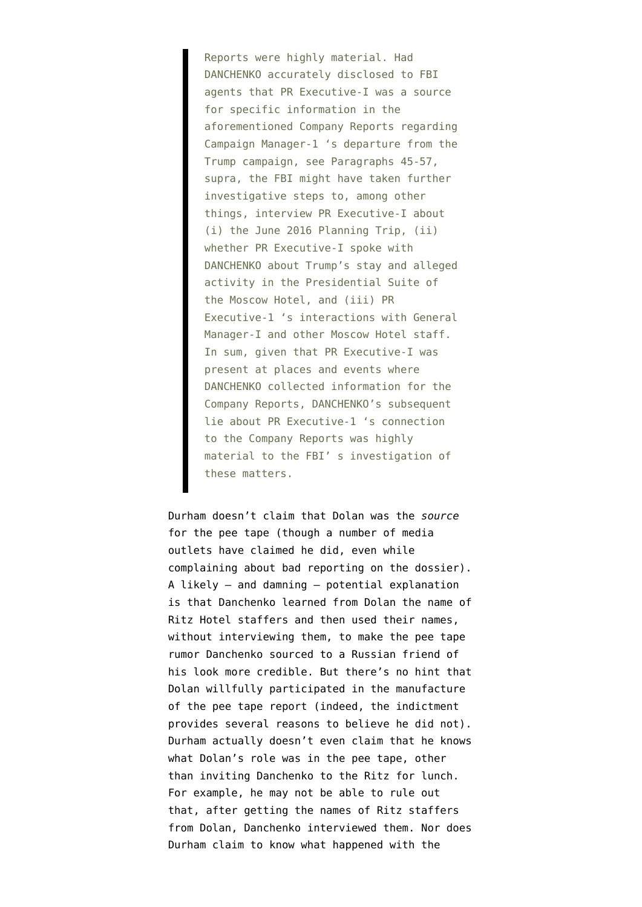Reports were highly material. Had DANCHENKO accurately disclosed to FBI agents that PR Executive-I was a source for specific information in the aforementioned Company Reports regarding Campaign Manager-1 's departure from the Trump campaign, see Paragraphs 45-57, supra, the FBI might have taken further investigative steps to, among other things, interview PR Executive-I about (i) the June 2016 Planning Trip, (ii) whether PR Executive-I spoke with DANCHENKO about Trump's stay and alleged activity in the Presidential Suite of the Moscow Hotel, and (iii) PR Executive-1 's interactions with General Manager-I and other Moscow Hotel staff. In sum, given that PR Executive-I was present at places and events where DANCHENKO collected information for the Company Reports, DANCHENKO's subsequent lie about PR Executive-1 's connection to the Company Reports was highly material to the FBI' s investigation of these matters.

Durham doesn't claim that Dolan was the *source* for the pee tape (though a number of media outlets have claimed he did, even while complaining about bad reporting on the dossier). A likely — and damning — potential explanation is that Danchenko learned from Dolan the name of Ritz Hotel staffers and then used their names, without interviewing them, to make the pee tape rumor Danchenko sourced to a Russian friend of his look more credible. But there's no hint that Dolan willfully participated in the manufacture of the pee tape report (indeed, the indictment provides several reasons to believe he did not). Durham actually doesn't even claim that he knows what Dolan's role was in the pee tape, other than inviting Danchenko to the Ritz for lunch. For example, he may not be able to rule out that, after getting the names of Ritz staffers from Dolan, Danchenko interviewed them. Nor does Durham claim to know what happened with the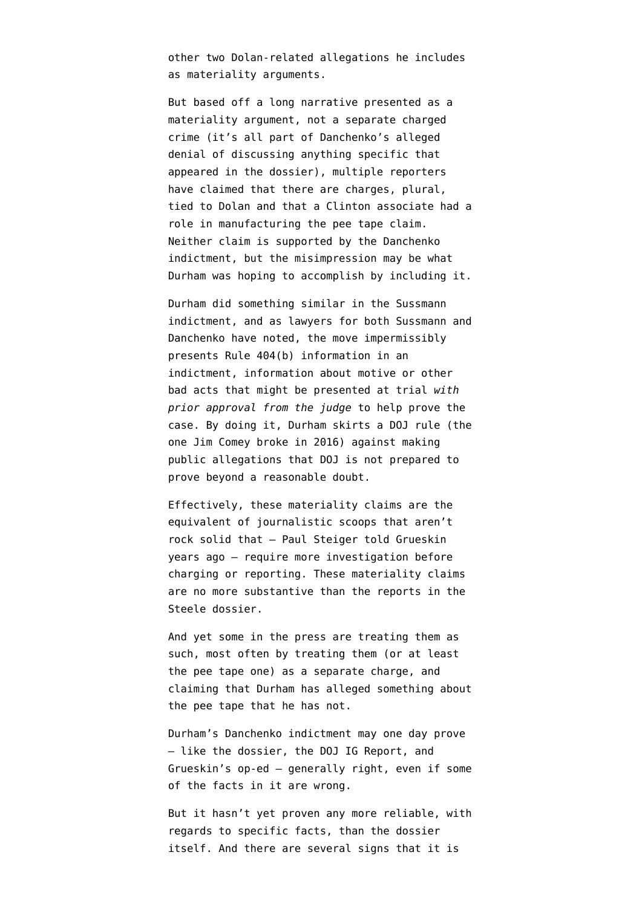other two Dolan-related allegations he includes as materiality arguments.

But based off a long narrative presented as a materiality argument, not a separate charged crime (it's all part of Danchenko's alleged denial of discussing anything specific that appeared in the dossier), multiple reporters have claimed that there are charges, plural, tied to Dolan and that a Clinton associate had a role in manufacturing the pee tape claim. Neither claim is supported by the Danchenko indictment, but the misimpression may be what Durham was hoping to accomplish by including it.

Durham did something similar in the Sussmann indictment, and as lawyers for both Sussmann and Danchenko have noted, the move impermissibly presents [Rule 404\(b\)](https://www.law.cornell.edu/rules/fre/rule_404) information in an indictment, information about motive or other bad acts that might be presented at trial *with prior approval from the judge* to help prove the case. By doing it, Durham skirts a DOJ rule (the one Jim Comey broke in 2016) against making public allegations that DOJ is not prepared to prove beyond a reasonable doubt.

Effectively, these materiality claims are the equivalent of journalistic scoops that aren't rock solid that — Paul Steiger told Grueskin years ago — require more investigation before charging or reporting. These materiality claims are no more substantive than the reports in the Steele dossier.

And yet some in the press are treating them as such, most often by treating them (or at least the pee tape one) as a separate charge, and claiming that Durham has alleged something about the pee tape that he has not.

Durham's Danchenko indictment may one day prove — like the dossier, the DOJ IG Report, and Grueskin's op-ed — generally right, even if some of the facts in it are wrong.

But it hasn't yet proven any more reliable, with regards to specific facts, than the dossier itself. And there are several signs that it is